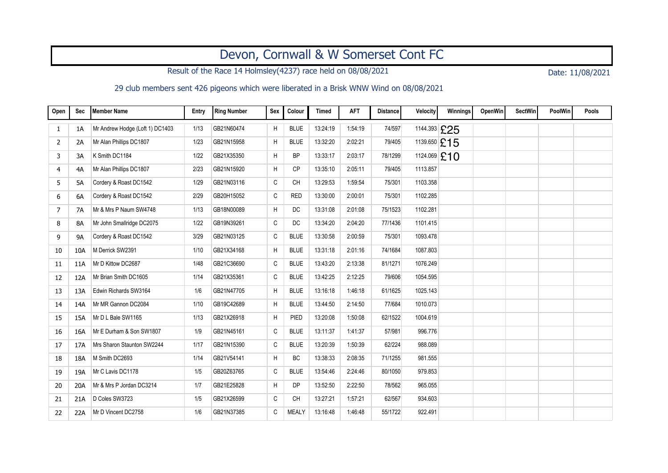## Devon, Cornwall & W Somerset Cont FC

Result of the Race 14 Holmsley(4237) race held on 08/08/2021 Date: 11/08/2021

29 club members sent 426 pigeons which were liberated in a Brisk WNW Wind on 08/08/2021

| Open | <b>Sec</b> | Member Name                     | Entry | <b>Ring Number</b> | Sex          | Colour       | <b>Timed</b> | <b>AFT</b> | <b>Distance</b> | Velocity     | Winnings | <b>OpenWin</b> | <b>SectWin</b> | PoolWin | Pools |
|------|------------|---------------------------------|-------|--------------------|--------------|--------------|--------------|------------|-----------------|--------------|----------|----------------|----------------|---------|-------|
| 1    | 1A         | Mr Andrew Hodge (Loft 1) DC1403 | 1/13  | GB21N60474         | H            | <b>BLUE</b>  | 13:24:19     | 1:54:19    | 74/597          | 1144.393 £25 |          |                |                |         |       |
| 2    | 2A         | Mr Alan Phillips DC1807         | 1/23  | GB21N15958         | H            | <b>BLUE</b>  | 13:32:20     | 2:02:21    | 79/405          | 1139.650 £15 |          |                |                |         |       |
| 3    | 3A         | K Smith DC1184                  | 1/22  | GB21X35350         | H            | <b>BP</b>    | 13:33:17     | 2:03:17    | 78/1299         | 1124.069 £10 |          |                |                |         |       |
| 4    | 4A         | Mr Alan Phillips DC1807         | 2/23  | GB21N15920         | H            | <b>CP</b>    | 13:35:10     | 2:05:11    | 79/405          | 1113.857     |          |                |                |         |       |
| 5    | 5A         | Cordery & Roast DC1542          | 1/29  | GB21N03116         | С            | <b>CH</b>    | 13:29:53     | 1:59:54    | 75/301          | 1103.358     |          |                |                |         |       |
| 6    | 6A         | Cordery & Roast DC1542          | 2/29  | GB20H15052         | C            | <b>RED</b>   | 13:30:00     | 2:00:01    | 75/301          | 1102.285     |          |                |                |         |       |
| 7    | 7A         | Mr & Mrs P Naum SW4748          | 1/13  | GB18N00089         | Н            | DC           | 13:31:08     | 2:01:08    | 75/1523         | 1102.281     |          |                |                |         |       |
| 8    | 8A         | Mr John Smallridge DC2075       | 1/22  | GB19N39261         | C            | DC           | 13:34:20     | 2:04:20    | 77/1436         | 1101.415     |          |                |                |         |       |
| 9    | 9A         | Cordery & Roast DC1542          | 3/29  | GB21N03125         | C            | <b>BLUE</b>  | 13:30:58     | 2:00:59    | 75/301          | 1093.478     |          |                |                |         |       |
| 10   | 10A        | M Derrick SW2391                | 1/10  | GB21X34168         | Н            | <b>BLUE</b>  | 13:31:18     | 2:01:16    | 74/1684         | 1087.803     |          |                |                |         |       |
| 11   | 11A        | Mr D Kittow DC2687              | 1/48  | GB21C36690         | $\mathtt{C}$ | <b>BLUE</b>  | 13:43:20     | 2:13:38    | 81/1271         | 1076.249     |          |                |                |         |       |
| 12   | 12A        | Mr Brian Smith DC1605           | 1/14  | GB21X35361         | $\mathtt{C}$ | <b>BLUE</b>  | 13:42:25     | 2:12:25    | 79/606          | 1054.595     |          |                |                |         |       |
| 13   | 13A        | Edwin Richards SW3164           | 1/6   | GB21N47705         | H            | <b>BLUE</b>  | 13:16:18     | 1.46.18    | 61/1625         | 1025.143     |          |                |                |         |       |
| 14   | 14A        | Mr MR Gannon DC2084             | 1/10  | GB19C42689         | H            | <b>BLUE</b>  | 13:44:50     | 2:14:50    | 77/684          | 1010.073     |          |                |                |         |       |
| 15   | 15A        | Mr D L Bale SW1165              | 1/13  | GB21X26918         | Н            | PIED         | 13:20:08     | 1:50:08    | 62/1522         | 1004.619     |          |                |                |         |       |
| 16   | 16A        | Mr E Durham & Son SW1807        | 1/9   | GB21N45161         | $\mathtt{C}$ | <b>BLUE</b>  | 13:11:37     | 1:41:37    | 57/981          | 996.776      |          |                |                |         |       |
| 17   | 17A        | Mrs Sharon Staunton SW2244      | 1/17  | GB21N15390         | C            | <b>BLUE</b>  | 13:20:39     | 1:50:39    | 62/224          | 988.089      |          |                |                |         |       |
| 18   | 18A        | M Smith DC2693                  | 1/14  | GB21V54141         | H            | BC           | 13:38:33     | 2:08:35    | 71/1255         | 981.555      |          |                |                |         |       |
| 19   | 19A        | Mr C Lavis DC1178               | 1/5   | GB20Z63765         | C            | <b>BLUE</b>  | 13:54:46     | 2:24:46    | 80/1050         | 979.853      |          |                |                |         |       |
| 20   | 20A        | Mr & Mrs P Jordan DC3214        | 1/7   | GB21E25828         | Н            | <b>DP</b>    | 13:52:50     | 2:22:50    | 78/562          | 965.055      |          |                |                |         |       |
| 21   | 21A        | D Coles SW3723                  | 1/5   | GB21X26599         | С            | <b>CH</b>    | 13:27:21     | 1:57:21    | 62/567          | 934.603      |          |                |                |         |       |
| 22   | 22A        | Mr D Vincent DC2758             | 1/6   | GB21N37385         | C            | <b>MEALY</b> | 13:16:48     | 1:46:48    | 55/1722         | 922.491      |          |                |                |         |       |